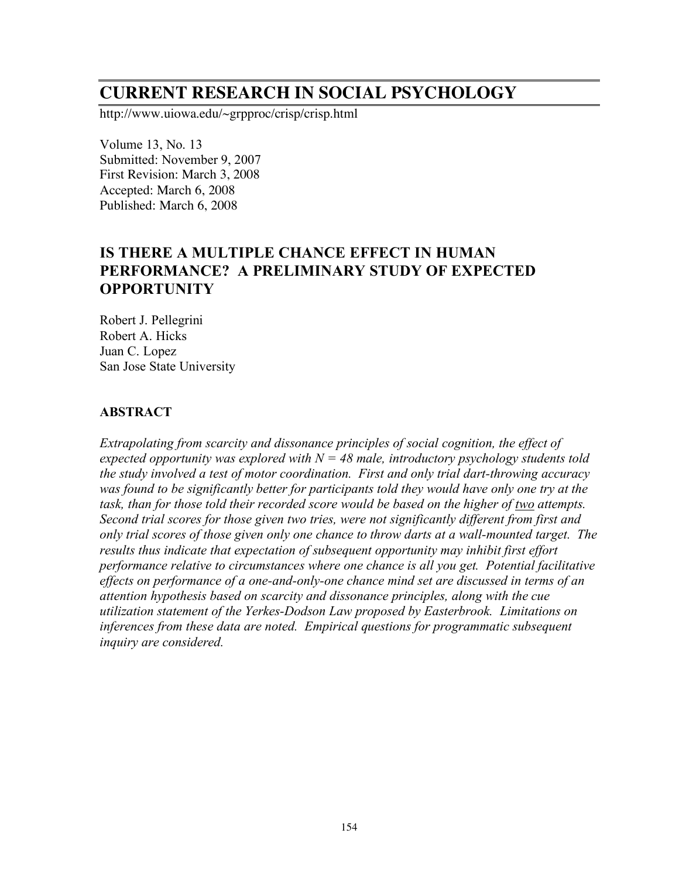# **CURRENT RESEARCH IN SOCIAL PSYCHOLOGY**

http://www.uiowa.edu/~grpproc/crisp/crisp.html

Volume 13, No. 13 Submitted: November 9, 2007 First Revision: March 3, 2008 Accepted: March 6, 2008 Published: March 6, 2008

## **IS THERE A MULTIPLE CHANCE EFFECT IN HUMAN PERFORMANCE? A PRELIMINARY STUDY OF EXPECTED OPPORTUNITY**

Robert J. Pellegrini Robert A. Hicks Juan C. Lopez San Jose State University

#### **ABSTRACT**

*Extrapolating from scarcity and dissonance principles of social cognition, the effect of expected opportunity was explored with N = 48 male, introductory psychology students told the study involved a test of motor coordination. First and only trial dart-throwing accuracy was found to be significantly better for participants told they would have only one try at the task, than for those told their recorded score would be based on the higher of two attempts. Second trial scores for those given two tries, were not significantly different from first and only trial scores of those given only one chance to throw darts at a wall-mounted target. The results thus indicate that expectation of subsequent opportunity may inhibit first effort performance relative to circumstances where one chance is all you get. Potential facilitative effects on performance of a one-and-only-one chance mind set are discussed in terms of an attention hypothesis based on scarcity and dissonance principles, along with the cue utilization statement of the Yerkes-Dodson Law proposed by Easterbrook. Limitations on inferences from these data are noted. Empirical questions for programmatic subsequent inquiry are considered.*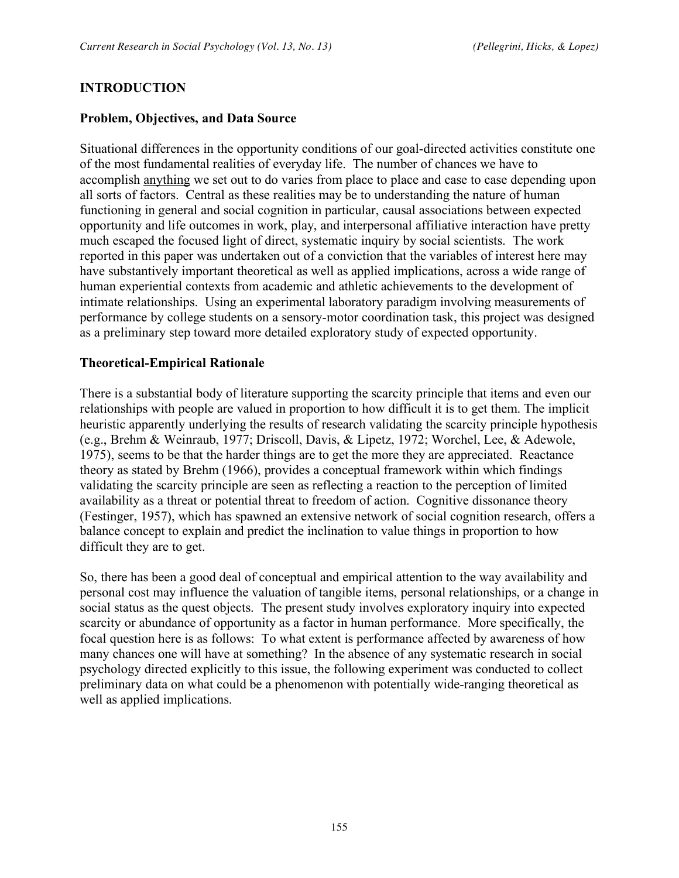#### **INTRODUCTION**

#### **Problem, Objectives, and Data Source**

Situational differences in the opportunity conditions of our goal-directed activities constitute one of the most fundamental realities of everyday life. The number of chances we have to accomplish anything we set out to do varies from place to place and case to case depending upon all sorts of factors. Central as these realities may be to understanding the nature of human functioning in general and social cognition in particular, causal associations between expected opportunity and life outcomes in work, play, and interpersonal affiliative interaction have pretty much escaped the focused light of direct, systematic inquiry by social scientists. The work reported in this paper was undertaken out of a conviction that the variables of interest here may have substantively important theoretical as well as applied implications, across a wide range of human experiential contexts from academic and athletic achievements to the development of intimate relationships. Using an experimental laboratory paradigm involving measurements of performance by college students on a sensory-motor coordination task, this project was designed as a preliminary step toward more detailed exploratory study of expected opportunity.

#### **Theoretical-Empirical Rationale**

There is a substantial body of literature supporting the scarcity principle that items and even our relationships with people are valued in proportion to how difficult it is to get them. The implicit heuristic apparently underlying the results of research validating the scarcity principle hypothesis (e.g., Brehm & Weinraub, 1977; Driscoll, Davis, & Lipetz, 1972; Worchel, Lee, & Adewole, 1975), seems to be that the harder things are to get the more they are appreciated. Reactance theory as stated by Brehm (1966), provides a conceptual framework within which findings validating the scarcity principle are seen as reflecting a reaction to the perception of limited availability as a threat or potential threat to freedom of action. Cognitive dissonance theory (Festinger, 1957), which has spawned an extensive network of social cognition research, offers a balance concept to explain and predict the inclination to value things in proportion to how difficult they are to get.

So, there has been a good deal of conceptual and empirical attention to the way availability and personal cost may influence the valuation of tangible items, personal relationships, or a change in social status as the quest objects. The present study involves exploratory inquiry into expected scarcity or abundance of opportunity as a factor in human performance. More specifically, the focal question here is as follows: To what extent is performance affected by awareness of how many chances one will have at something? In the absence of any systematic research in social psychology directed explicitly to this issue, the following experiment was conducted to collect preliminary data on what could be a phenomenon with potentially wide-ranging theoretical as well as applied implications.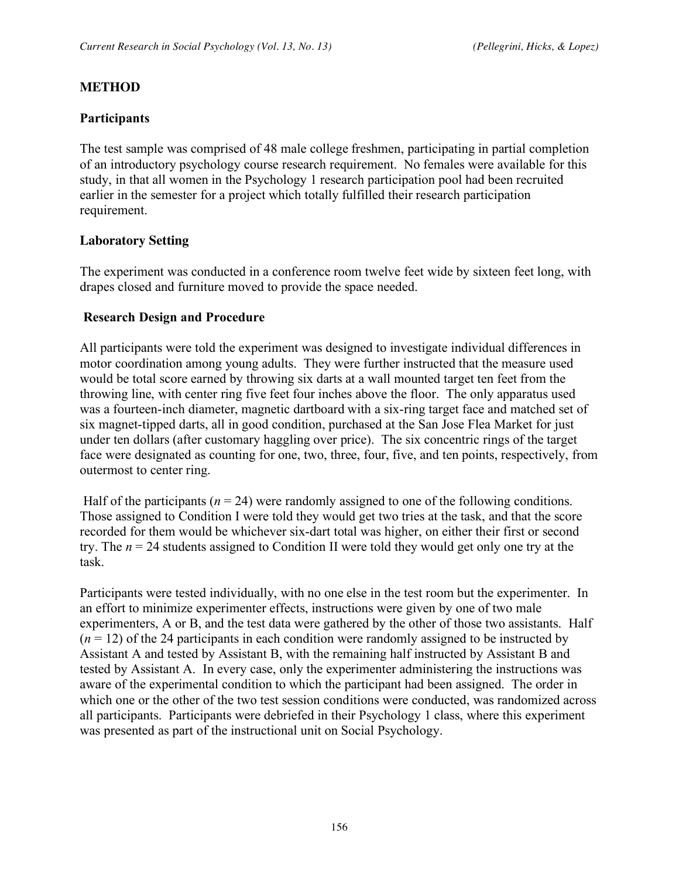### **METHOD**

### **Participants**

The test sample was comprised of 48 male college freshmen, participating in partial completion of an introductory psychology course research requirement. No females were available for this study, in that all women in the Psychology 1 research participation pool had been recruited earlier in the semester for a project which totally fulfilled their research participation requirement.

### **Laboratory Setting**

The experiment was conducted in a conference room twelve feet wide by sixteen feet long, with drapes closed and furniture moved to provide the space needed.

### **Research Design and Procedure**

All participants were told the experiment was designed to investigate individual differences in motor coordination among young adults. They were further instructed that the measure used would be total score earned by throwing six darts at a wall mounted target ten feet from the throwing line, with center ring five feet four inches above the floor. The only apparatus used was a fourteen-inch diameter, magnetic dartboard with a six-ring target face and matched set of six magnet-tipped darts, all in good condition, purchased at the San Jose Flea Market for just under ten dollars (after customary haggling over price). The six concentric rings of the target face were designated as counting for one, two, three, four, five, and ten points, respectively, from outermost to center ring.

Half of the participants  $(n = 24)$  were randomly assigned to one of the following conditions. Those assigned to Condition I were told they would get two tries at the task, and that the score recorded for them would be whichever six-dart total was higher, on either their first or second try. The *n* = 24 students assigned to Condition II were told they would get only one try at the task.

Participants were tested individually, with no one else in the test room but the experimenter. In an effort to minimize experimenter effects, instructions were given by one of two male experimenters, A or B, and the test data were gathered by the other of those two assistants. Half  $(n = 12)$  of the 24 participants in each condition were randomly assigned to be instructed by Assistant A and tested by Assistant B, with the remaining half instructed by Assistant B and tested by Assistant A. In every case, only the experimenter administering the instructions was aware of the experimental condition to which the participant had been assigned. The order in which one or the other of the two test session conditions were conducted, was randomized across all participants. Participants were debriefed in their Psychology 1 class, where this experiment was presented as part of the instructional unit on Social Psychology.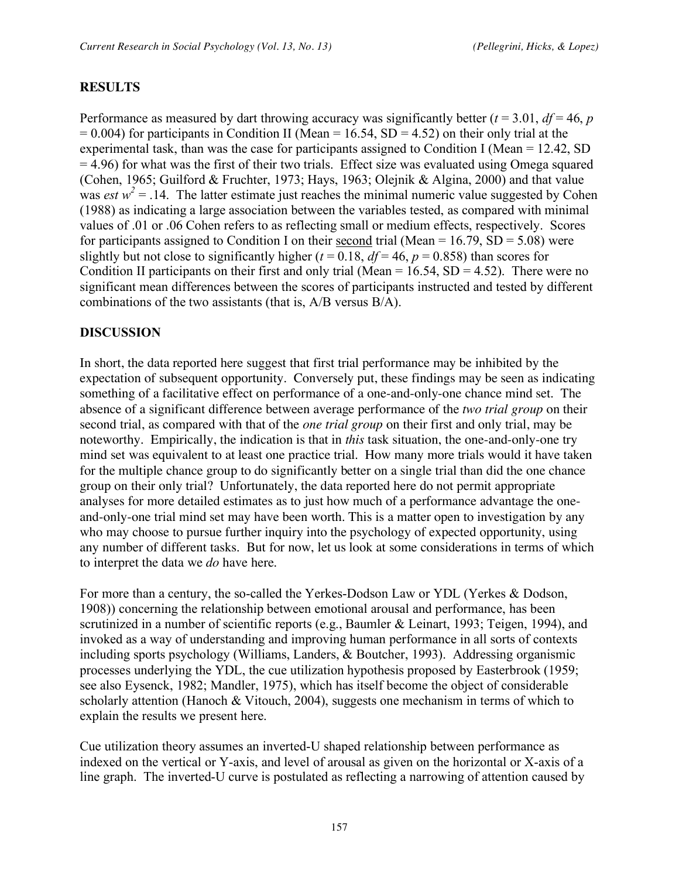#### **RESULTS**

Performance as measured by dart throwing accuracy was significantly better ( $t = 3.01$ ,  $df = 46$ ,  $p = 16$  $= 0.004$ ) for participants in Condition II (Mean  $= 16.54$ , SD  $= 4.52$ ) on their only trial at the experimental task, than was the case for participants assigned to Condition I (Mean = 12.42, SD = 4.96) for what was the first of their two trials. Effect size was evaluated using Omega squared (Cohen, 1965; Guilford & Fruchter, 1973; Hays, 1963; Olejnik & Algina, 2000) and that value was *est*  $w^2 = 0.14$ . The latter estimate just reaches the minimal numeric value suggested by Cohen (1988) as indicating a large association between the variables tested, as compared with minimal values of .01 or .06 Cohen refers to as reflecting small or medium effects, respectively. Scores for participants assigned to Condition I on their second trial (Mean =  $16.79$ , SD =  $5.08$ ) were slightly but not close to significantly higher ( $t = 0.18$ ,  $df = 46$ ,  $p = 0.858$ ) than scores for Condition II participants on their first and only trial (Mean =  $16.54$ , SD =  $4.52$ ). There were no significant mean differences between the scores of participants instructed and tested by different combinations of the two assistants (that is, A/B versus B/A).

#### **DISCUSSION**

In short, the data reported here suggest that first trial performance may be inhibited by the expectation of subsequent opportunity. Conversely put, these findings may be seen as indicating something of a facilitative effect on performance of a one-and-only-one chance mind set. The absence of a significant difference between average performance of the *two trial group* on their second trial, as compared with that of the *one trial group* on their first and only trial, may be noteworthy. Empirically, the indication is that in *this* task situation, the one-and-only-one try mind set was equivalent to at least one practice trial. How many more trials would it have taken for the multiple chance group to do significantly better on a single trial than did the one chance group on their only trial? Unfortunately, the data reported here do not permit appropriate analyses for more detailed estimates as to just how much of a performance advantage the oneand-only-one trial mind set may have been worth. This is a matter open to investigation by any who may choose to pursue further inquiry into the psychology of expected opportunity, using any number of different tasks. But for now, let us look at some considerations in terms of which to interpret the data we *do* have here.

For more than a century, the so-called the Yerkes-Dodson Law or YDL (Yerkes & Dodson, 1908)) concerning the relationship between emotional arousal and performance, has been scrutinized in a number of scientific reports (e.g., Baumler & Leinart, 1993; Teigen, 1994), and invoked as a way of understanding and improving human performance in all sorts of contexts including sports psychology (Williams, Landers, & Boutcher, 1993). Addressing organismic processes underlying the YDL, the cue utilization hypothesis proposed by Easterbrook (1959; see also Eysenck, 1982; Mandler, 1975), which has itself become the object of considerable scholarly attention (Hanoch & Vitouch, 2004), suggests one mechanism in terms of which to explain the results we present here.

Cue utilization theory assumes an inverted-U shaped relationship between performance as indexed on the vertical or Y-axis, and level of arousal as given on the horizontal or X-axis of a line graph. The inverted-U curve is postulated as reflecting a narrowing of attention caused by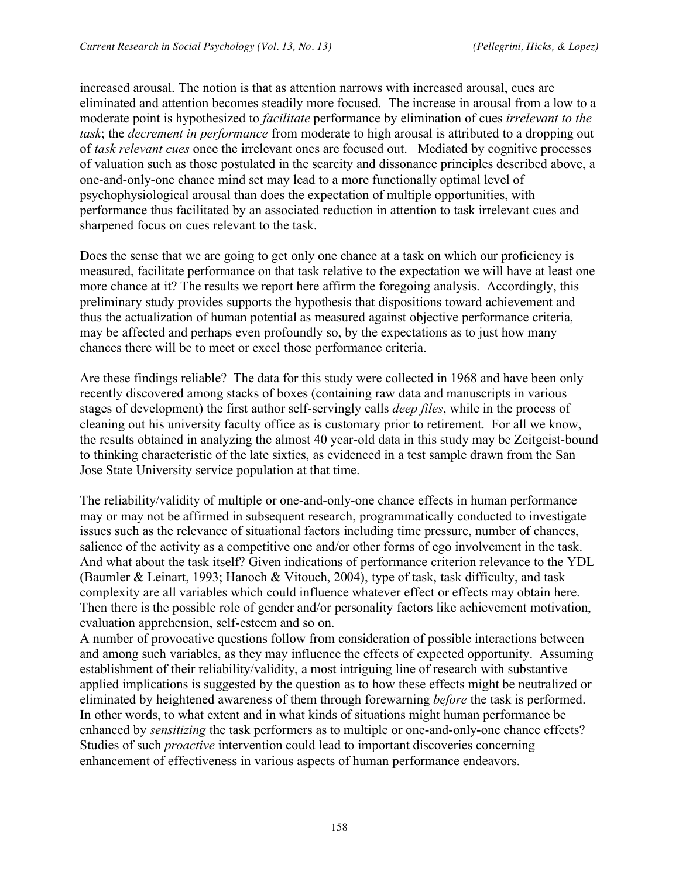increased arousal. The notion is that as attention narrows with increased arousal, cues are eliminated and attention becomes steadily more focused. The increase in arousal from a low to a moderate point is hypothesized to *facilitate* performance by elimination of cues *irrelevant to the task*; the *decrement in performance* from moderate to high arousal is attributed to a dropping out of *task relevant cues* once the irrelevant ones are focused out. Mediated by cognitive processes of valuation such as those postulated in the scarcity and dissonance principles described above, a one-and-only-one chance mind set may lead to a more functionally optimal level of psychophysiological arousal than does the expectation of multiple opportunities, with performance thus facilitated by an associated reduction in attention to task irrelevant cues and sharpened focus on cues relevant to the task.

Does the sense that we are going to get only one chance at a task on which our proficiency is measured, facilitate performance on that task relative to the expectation we will have at least one more chance at it? The results we report here affirm the foregoing analysis. Accordingly, this preliminary study provides supports the hypothesis that dispositions toward achievement and thus the actualization of human potential as measured against objective performance criteria, may be affected and perhaps even profoundly so, by the expectations as to just how many chances there will be to meet or excel those performance criteria.

Are these findings reliable? The data for this study were collected in 1968 and have been only recently discovered among stacks of boxes (containing raw data and manuscripts in various stages of development) the first author self-servingly calls *deep files*, while in the process of cleaning out his university faculty office as is customary prior to retirement. For all we know, the results obtained in analyzing the almost 40 year-old data in this study may be Zeitgeist-bound to thinking characteristic of the late sixties, as evidenced in a test sample drawn from the San Jose State University service population at that time.

The reliability/validity of multiple or one-and-only-one chance effects in human performance may or may not be affirmed in subsequent research, programmatically conducted to investigate issues such as the relevance of situational factors including time pressure, number of chances, salience of the activity as a competitive one and/or other forms of ego involvement in the task. And what about the task itself? Given indications of performance criterion relevance to the YDL (Baumler & Leinart, 1993; Hanoch & Vitouch, 2004), type of task, task difficulty, and task complexity are all variables which could influence whatever effect or effects may obtain here. Then there is the possible role of gender and/or personality factors like achievement motivation, evaluation apprehension, self-esteem and so on.

A number of provocative questions follow from consideration of possible interactions between and among such variables, as they may influence the effects of expected opportunity. Assuming establishment of their reliability/validity, a most intriguing line of research with substantive applied implications is suggested by the question as to how these effects might be neutralized or eliminated by heightened awareness of them through forewarning *before* the task is performed. In other words, to what extent and in what kinds of situations might human performance be enhanced by *sensitizing* the task performers as to multiple or one-and-only-one chance effects? Studies of such *proactive* intervention could lead to important discoveries concerning enhancement of effectiveness in various aspects of human performance endeavors.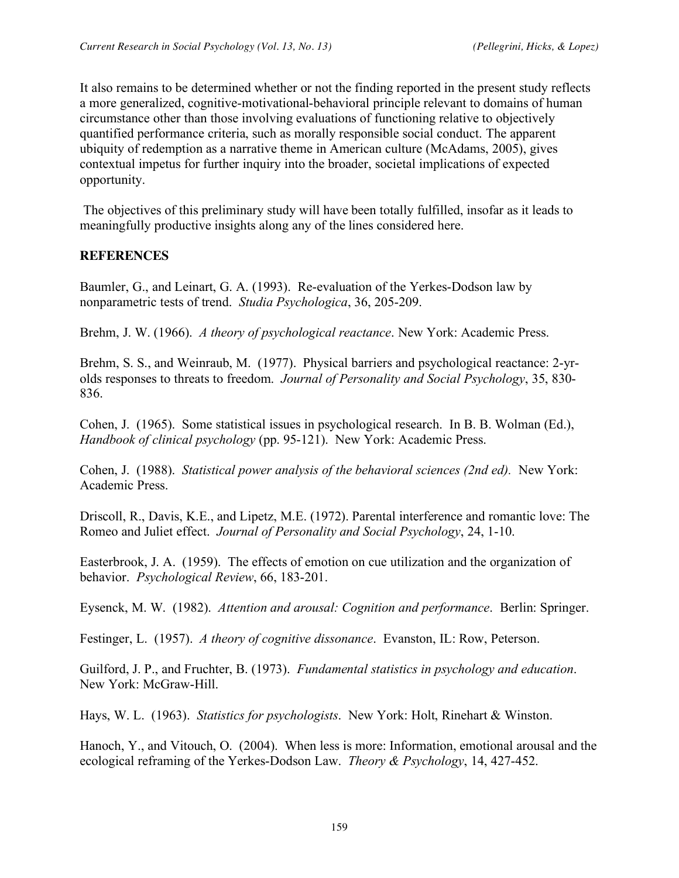It also remains to be determined whether or not the finding reported in the present study reflects a more generalized, cognitive-motivational-behavioral principle relevant to domains of human circumstance other than those involving evaluations of functioning relative to objectively quantified performance criteria, such as morally responsible social conduct. The apparent ubiquity of redemption as a narrative theme in American culture (McAdams, 2005), gives contextual impetus for further inquiry into the broader, societal implications of expected opportunity.

The objectives of this preliminary study will have been totally fulfilled, insofar as it leads to meaningfully productive insights along any of the lines considered here.

### **REFERENCES**

Baumler, G., and Leinart, G. A. (1993). Re-evaluation of the Yerkes-Dodson law by nonparametric tests of trend. *Studia Psychologica*, 36, 205-209.

Brehm, J. W. (1966). *A theory of psychological reactance*. New York: Academic Press.

Brehm, S. S., and Weinraub, M. (1977). Physical barriers and psychological reactance: 2-yrolds responses to threats to freedom. *Journal of Personality and Social Psychology*, 35, 830- 836.

Cohen, J. (1965). Some statistical issues in psychological research. In B. B. Wolman (Ed.), *Handbook of clinical psychology* (pp. 95-121). New York: Academic Press.

Cohen, J. (1988). *Statistical power analysis of the behavioral sciences (2nd ed).* New York: Academic Press.

Driscoll, R., Davis, K.E., and Lipetz, M.E. (1972). Parental interference and romantic love: The Romeo and Juliet effect. *Journal of Personality and Social Psychology*, 24, 1-10.

Easterbrook, J. A. (1959). The effects of emotion on cue utilization and the organization of behavior. *Psychological Review*, 66, 183-201.

Eysenck, M. W. (1982). *Attention and arousal: Cognition and performance*. Berlin: Springer.

Festinger, L. (1957). *A theory of cognitive dissonance*. Evanston, IL: Row, Peterson.

Guilford, J. P., and Fruchter, B. (1973). *Fundamental statistics in psychology and education*. New York: McGraw-Hill.

Hays, W. L. (1963). *Statistics for psychologists*. New York: Holt, Rinehart & Winston.

Hanoch, Y., and Vitouch, O. (2004). When less is more: Information, emotional arousal and the ecological reframing of the Yerkes-Dodson Law. *Theory & Psychology*, 14, 427-452.